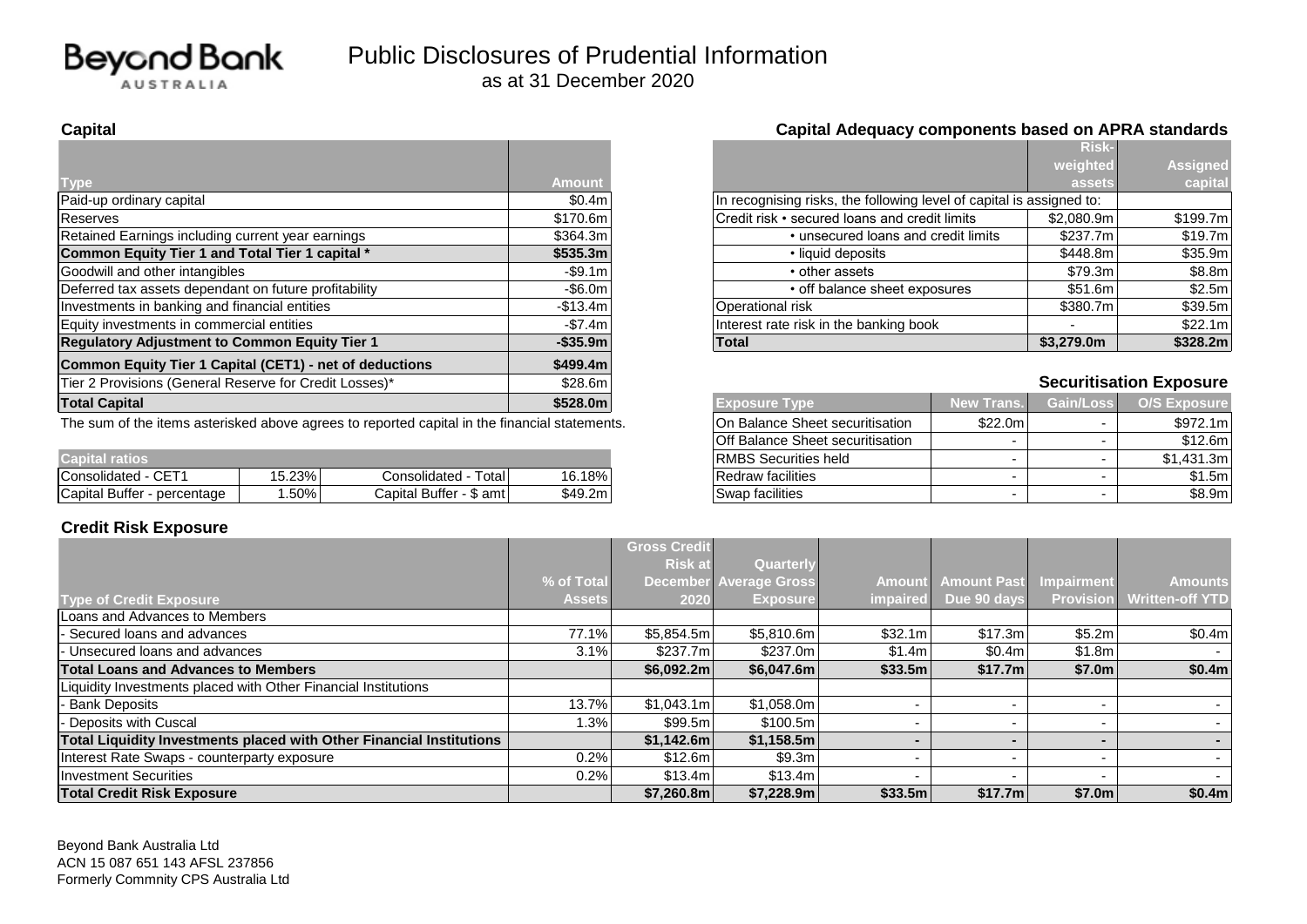

## **Capital Capital Adequacy components based on APRA standards**

|                                                         |               |                                                                      | <b>Risk-</b>                   |                                |
|---------------------------------------------------------|---------------|----------------------------------------------------------------------|--------------------------------|--------------------------------|
|                                                         |               |                                                                      | weighted                       | <b>Assigned</b>                |
| Type                                                    | <b>Amount</b> |                                                                      | assets                         | capital                        |
| Paid-up ordinary capital                                | \$0.4m        | In recognising risks, the following level of capital is assigned to: |                                |                                |
| Reserves                                                | \$170.6m      | Credit risk • secured loans and credit limits                        | \$2.080.9m                     | \$199.7m                       |
| Retained Earnings including current year earnings       | \$364.3m      | • unsecured loans and credit limits                                  | \$237.7m                       | \$19.7m                        |
| Common Equity Tier 1 and Total Tier 1 capital *         | \$535.3m      | • liquid deposits                                                    |                                | \$35.9m<br>\$448.8m            |
| Goodwill and other intangibles                          | $-$ \$9.1m    | • other assets                                                       |                                | \$79.3m<br>\$8.8m              |
| Deferred tax assets dependant on future profitability   | $-$ \$6.0m    | • off balance sheet exposures                                        |                                | \$51.6m<br>\$2.5m              |
| Investments in banking and financial entities           | $-$13.4m$     | Operational risk                                                     | \$380.7m                       | \$39.5m                        |
| Equity investments in commercial entities               | $-$7.4m$      | Interest rate risk in the banking book                               |                                | \$22.1m                        |
| <b>Regulatory Adjustment to Common Equity Tier 1</b>    | $-$ \$35.9m   | \$3,279.0m<br><b>Total</b>                                           |                                | \$328.2m                       |
| Common Equity Tier 1 Capital (CET1) - net of deductions | \$499.4m      |                                                                      |                                |                                |
| Tier 2 Provisions (General Reserve for Credit Losses)*  | \$28.6m       |                                                                      |                                | <b>Securitisation Exposure</b> |
| <b>Total Capital</b>                                    | \$528.0m      | <b>Exposure Type</b>                                                 | <b>Gain/Loss</b><br>New Trans. | <b>O/S Exposure</b>            |
| .                                                       |               |                                                                      | $\sim$ $\sim$ $\sim$           |                                |

The sum of the items asterisked above agrees to reported capital in the financial statements.

|                                |        |                                               |         |                             |  | ------- |
|--------------------------------|--------|-----------------------------------------------|---------|-----------------------------|--|---------|
| <b>Capital ratios</b>          |        |                                               |         | <b>RMBS</b> Securities held |  | .431.3m |
| $\cap$<br>Consolidated<br>◡⊏   | 15.23% | - Total l<br>Consolidated                     | 16.18%  | Redraw facilities           |  | \$1.5m  |
| Capital Buffer<br>- percentage | . .50% | $\triangleq$ Buffer -<br>\$ amtl<br>' Capital | \$49.2m | Swap facilities             |  | \$8.9m  |

### **Credit Risk Exposure**

|           |                                                                      | <b>Risk-</b> |                 |
|-----------|----------------------------------------------------------------------|--------------|-----------------|
|           |                                                                      | weighted     | <b>Assigned</b> |
| nount     |                                                                      | assets.      | capital         |
| \$0.4m    | In recognising risks, the following level of capital is assigned to: |              |                 |
| 170.6ml   | Credit risk • secured loans and credit limits                        | \$2,080.9m   | \$199.7m        |
| 364.3ml   | • unsecured loans and credit limits                                  | \$237.7m     | \$19.7ml        |
| 535.3m    | • liquid deposits                                                    | \$448.8m     | \$35.9m         |
| -\$9.1ml  | • other assets                                                       | \$79.3m      | \$8.8m          |
| -\$6.0m   | • off balance sheet exposures                                        | \$51.6m      | \$2.5m          |
| 513.4ml   | Operational risk                                                     | \$380.7m     | \$39.5m         |
| -\$7.4m l | Interest rate risk in the banking book                               |              | \$22.1m]        |
| ኔ35.9m l  | <b>Total</b>                                                         | \$3,279.0m   | \$328.2m        |

# **Securitisation Exposure**

| <b>Exposure Type</b>             | <b>New Trans.</b> | Gain/Loss                | <b>O/S Exposure</b> |
|----------------------------------|-------------------|--------------------------|---------------------|
| On Balance Sheet securitisation  | \$22.0m           | $\overline{\phantom{0}}$ | \$972.1m            |
| Off Balance Sheet securitisation | -                 | $\overline{\phantom{0}}$ | \$12.6m             |
| RMBS Securities held             | -                 | $\overline{\phantom{0}}$ | \$1,431.3m          |
| Redraw facilities                | -                 | ۰                        | \$1.5m              |
| Swap facilities                  | -                 | ۰                        | \$8.9m              |

|                                                                      |               | <b>Gross Credit</b> |                               |                 |                    |                          |                        |
|----------------------------------------------------------------------|---------------|---------------------|-------------------------------|-----------------|--------------------|--------------------------|------------------------|
|                                                                      |               | <b>Risk at</b>      | Quarterly                     |                 |                    |                          |                        |
|                                                                      | % of Total    |                     | <b>December Average Gross</b> | <b>Amount</b>   | <b>Amount Past</b> | <b>Impairment</b>        | <b>Amounts</b>         |
| Type of Credit Exposure                                              | <b>Assets</b> | 2020                | <b>Exposure</b>               | <i>impaired</i> | Due 90 days        | <b>Provision</b>         | <b>Written-off YTD</b> |
| Loans and Advances to Members                                        |               |                     |                               |                 |                    |                          |                        |
| Secured loans and advances                                           | 77.1%         | \$5,854.5m          | \$5,810.6m                    | \$32.1m         | \$17.3m            | \$5.2m                   | \$0.4m                 |
| Unsecured loans and advances                                         | 3.1%          | \$237.7m            | \$237.0m                      | \$1.4ml         | \$0.4m             | \$1.8m                   |                        |
| <b>Total Loans and Advances to Members</b>                           |               | \$6,092.2m\$        | \$6,047.6m                    | \$33.5m         | \$17.7m            | \$7.0m                   | \$0.4m                 |
| Liquidity Investments placed with Other Financial Institutions       |               |                     |                               |                 |                    |                          |                        |
| <b>Bank Deposits</b>                                                 | 13.7%         | \$1,043.1m          | \$1,058.0m                    |                 |                    |                          | $\sim$                 |
| Deposits with Cuscal                                                 | $1.3\%$       | \$99.5m             | \$100.5m                      |                 |                    | $\overline{\phantom{a}}$ |                        |
| Total Liquidity Investments placed with Other Financial Institutions |               | \$1,142.6m          | \$1,158.5m                    |                 |                    |                          |                        |
| Interest Rate Swaps - counterparty exposure                          | 0.2%          | \$12.6m             | \$9.3m                        |                 |                    | $\overline{\phantom{0}}$ | . .                    |
| Investment Securities                                                | 0.2%          | \$13.4m             | \$13.4m                       |                 |                    | $\overline{\phantom{0}}$ | $\sim$                 |
| <b>Total Credit Risk Exposure</b>                                    |               | \$7,260.8m          | \$7,228.9m                    | \$33.5m         | \$17.7m            | \$7.0m                   | \$0.4m                 |